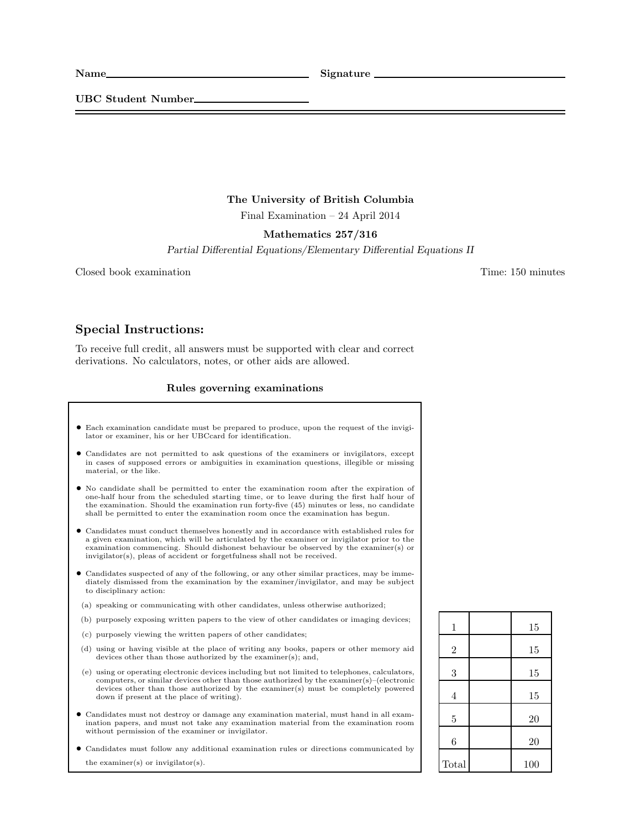UBC Student Number

## The University of British Columbia

Final Examination – 24 April 2014

## Mathematics 257/316

Partial Differential Equations/Elementary Differential Equations II

Closed book examination Time: 150 minutes

## Special Instructions:

To receive full credit, all answers must be supported with clear and correct derivations. No calculators, notes, or other aids are allowed.

## Rules governing examinations

- Each examination candidate must be prepared to produce, upon the request of the invigilator or examiner, his or her UBCcard for identification.
- Candidates are not permitted to ask questions of the examiners or invigilators, except in cases of supposed errors or ambiguities in examination questions, illegible or missing material, or the like.
- No candidate shall be permitted to enter the examination room after the expiration of one-half hour from the scheduled starting time, or to leave during the first half hour of the examination. Should the examination run forty-five (45) minutes or less, no candidate shall be permitted to enter the examination room once the examination has begun.
- Candidates must conduct themselves honestly and in accordance with established rules for a given examination, which will be articulated by the examiner or invigilator prior to the examination commencing. Should dishonest behaviour be observed by the examiner(s) or invigilator(s), pleas of accident or forgetfulness shall not be received.
- Candidates suspected of any of the following, or any other similar practices, may be immediately dismissed from the examination by the examiner/invigilator, and may be subject to disciplinary action:
- (a) speaking or communicating with other candidates, unless otherwise authorized;
- (b) purposely exposing written papers to the view of other candidates or imaging devices;
- (c) purposely viewing the written papers of other candidates;
- (d) using or having visible at the place of writing any books, papers or other memory aid devices other than those authorized by the examiner(s); and,
- (e) using or operating electronic devices including but not limited to telephones, calculators, computers, or similar devices other than those authorized by the examiner(s)–(electronic devices other than those authorized by the examiner(s) must be completely powered down if present at the place of writing).
- Candidates must not destroy or damage any examination material, must hand in all examination papers, and must not take any examination material from the examination room without permission of the examiner or invigilator.
- Candidates must follow any additional examination rules or directions communicated by the examiner(s) or invigilator(s).

| $\mathbf{1}$   | 15  |
|----------------|-----|
| $\overline{2}$ | 15  |
| 3              | 15  |
| $\overline{4}$ | 15  |
| $\overline{5}$ | 20  |
| 6              | 20  |
| Total          | 100 |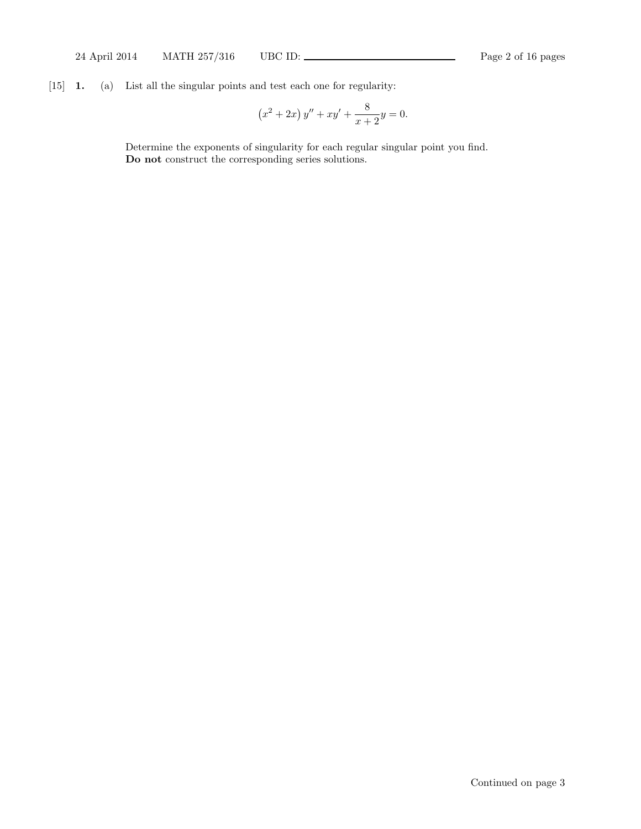[15] 1. (a) List all the singular points and test each one for regularity:

$$
(x2 + 2x) y'' + xy' + \frac{8}{x+2}y = 0.
$$

Determine the exponents of singularity for each regular singular point you find. Do not construct the corresponding series solutions.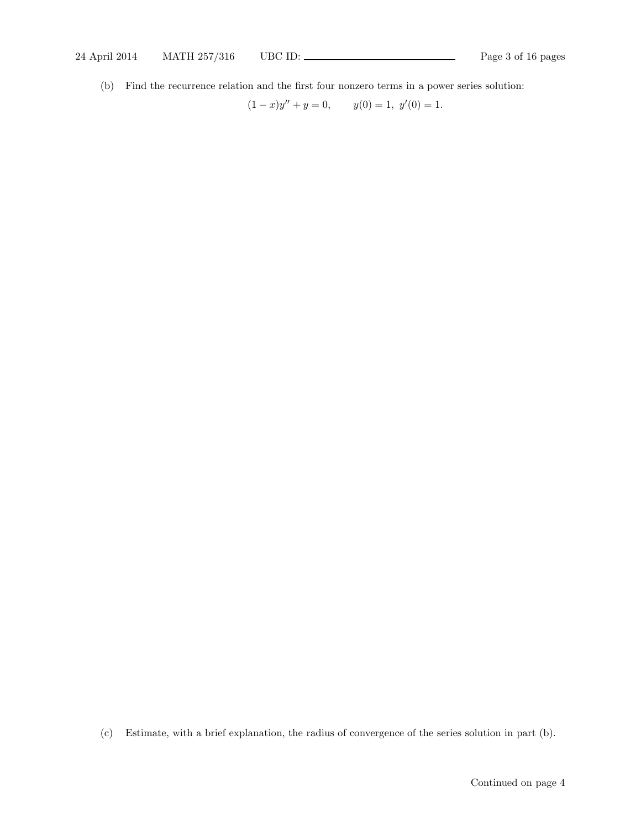(b) Find the recurrence relation and the first four nonzero terms in a power series solution:

 $(1-x)y'' + y = 0,$   $y(0) = 1, y'(0) = 1.$ 

(c) Estimate, with a brief explanation, the radius of convergence of the series solution in part (b).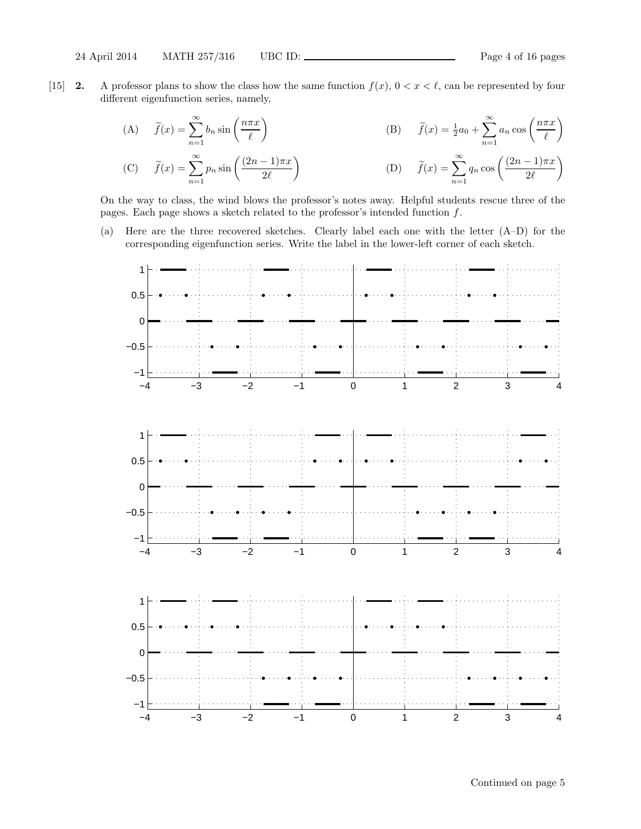[15] **2.** A professor plans to show the class how the same function  $f(x)$ ,  $0 < x < \ell$ , can be represented by four different eigenfunction series, namely,

(A) 
$$
\tilde{f}(x) = \sum_{n=1}^{\infty} b_n \sin\left(\frac{n\pi x}{\ell}\right)
$$
  
\n(B)  $\tilde{f}(x) = \frac{1}{2}a_0 + \sum_{n=1}^{\infty} a_n \cos\left(\frac{n\pi x}{\ell}\right)$   
\n(C)  $\tilde{f}(x) = \sum_{n=1}^{\infty} p_n \sin\left(\frac{(2n-1)\pi x}{2\ell}\right)$   
\n(D)  $\tilde{f}(x) = \sum_{n=1}^{\infty} q_n \cos\left(\frac{(2n-1)\pi x}{2\ell}\right)$ 

On the way to class, the wind blows the professor's notes away. Helpful students rescue three of the pages. Each page shows a sketch related to the professor's intended function  $f$ .

(a) Here are the three recovered sketches. Clearly label each one with the letter (A–D) for the corresponding eigenfunction series. Write the label in the lower-left corner of each sketch.

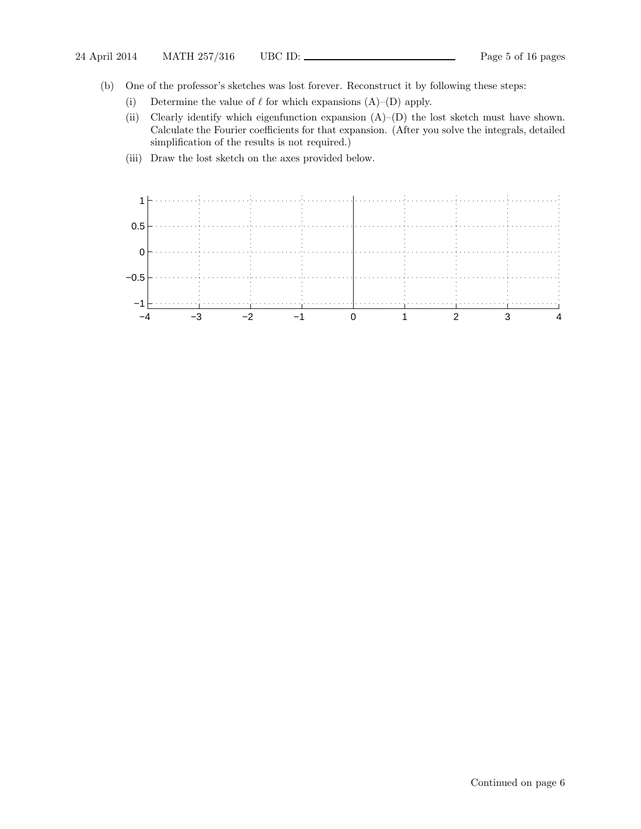- (b) One of the professor's sketches was lost forever. Reconstruct it by following these steps:
	- (i) Determine the value of  $\ell$  for which expansions  $(A)$ – $(D)$  apply.
	- (ii) Clearly identify which eigenfunction expansion (A)–(D) the lost sketch must have shown. Calculate the Fourier coefficients for that expansion. (After you solve the integrals, detailed simplification of the results is not required.)
	- (iii) Draw the lost sketch on the axes provided below.

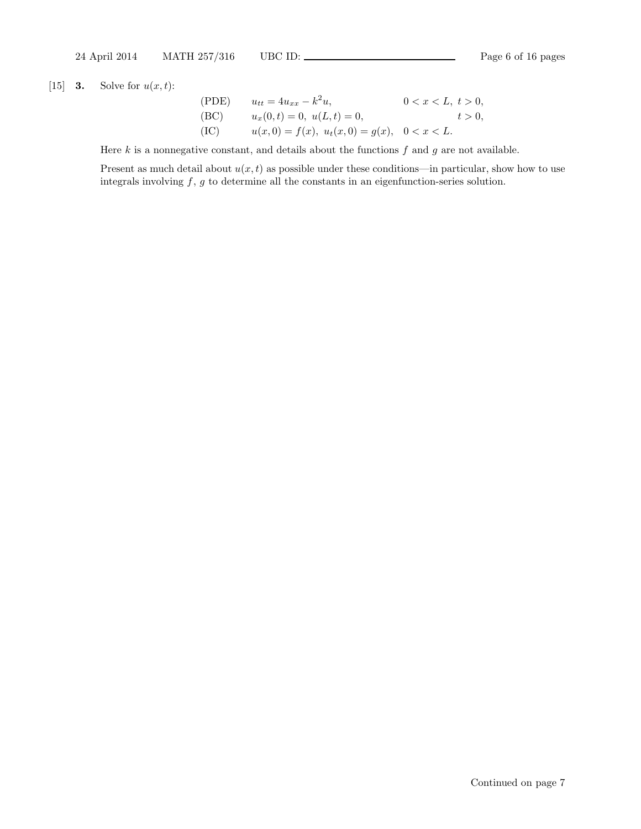[15] **3.** Solve for  $u(x,t)$ :

(PDE) 
$$
u_{tt} = 4u_{xx} - k^2 u
$$
,  $0 < x < L, t > 0$ ,  
\n(BC)  $u_x(0, t) = 0, u(L, t) = 0$ ,  $t > 0$ ,  
\n(IC)  $u(x, 0) = f(x), u_t(x, 0) = g(x), 0 < x < L$ .

Here  $k$  is a nonnegative constant, and details about the functions  $f$  and  $g$  are not available.

Present as much detail about  $u(x, t)$  as possible under these conditions—in particular, show how to use integrals involving  $f, g$  to determine all the constants in an eigenfunction-series solution.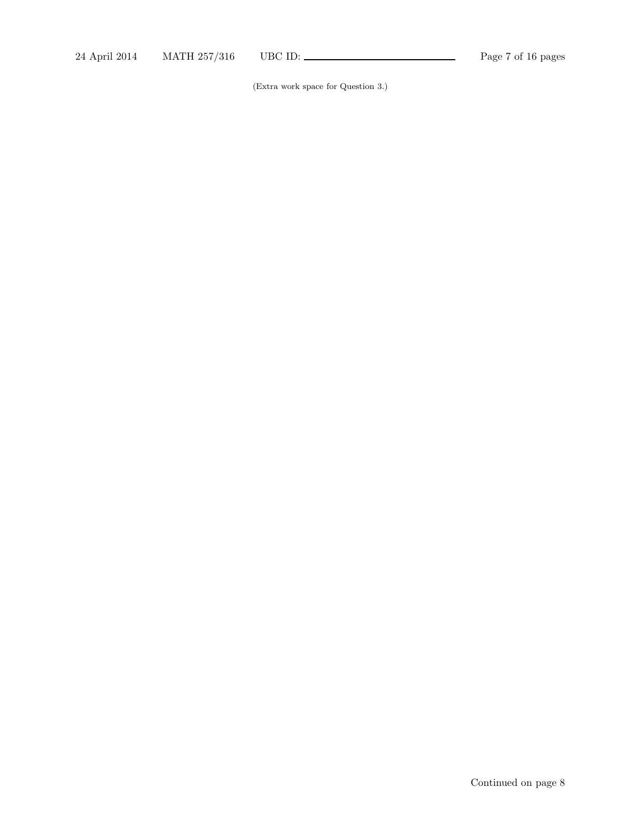(Extra work space for Question 3.)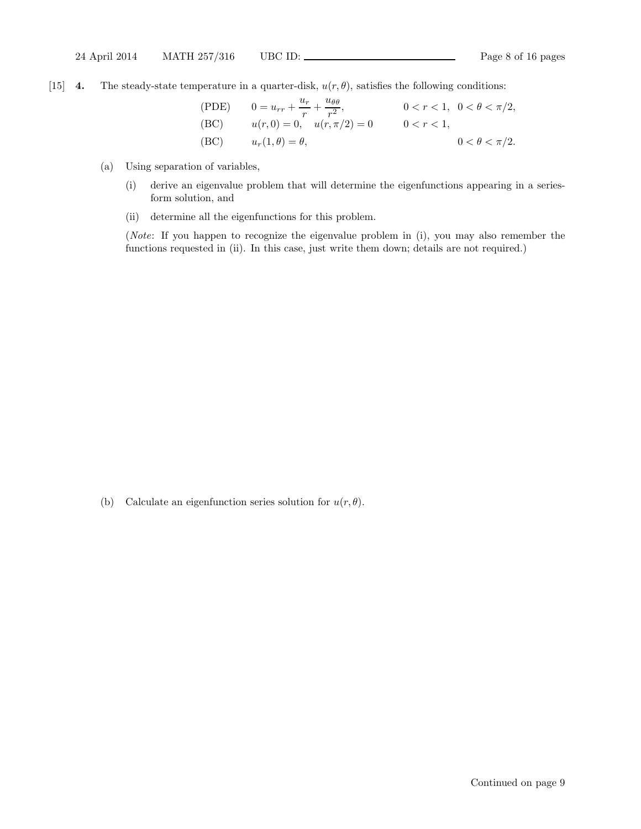[15] 4. The steady-state temperature in a quarter-disk,  $u(r, \theta)$ , satisfies the following conditions:

(PDE) 
$$
0 = u_{rr} + \frac{u_r}{r} + \frac{u_{\theta\theta}}{r^2}, \qquad 0 < r < 1, \ 0 < \theta < \pi/2,
$$
  
\n(BC) 
$$
u(r, 0) = 0, \quad u(r, \pi/2) = 0 \qquad 0 < r < 1,
$$
  
\n(BC) 
$$
u_r(1, \theta) = \theta, \qquad 0 < \theta < \pi/2.
$$

- (a) Using separation of variables,
	- (i) derive an eigenvalue problem that will determine the eigenfunctions appearing in a seriesform solution, and
	- (ii) determine all the eigenfunctions for this problem.

(Note: If you happen to recognize the eigenvalue problem in (i), you may also remember the functions requested in (ii). In this case, just write them down; details are not required.)

(b) Calculate an eigenfunction series solution for  $u(r, \theta)$ .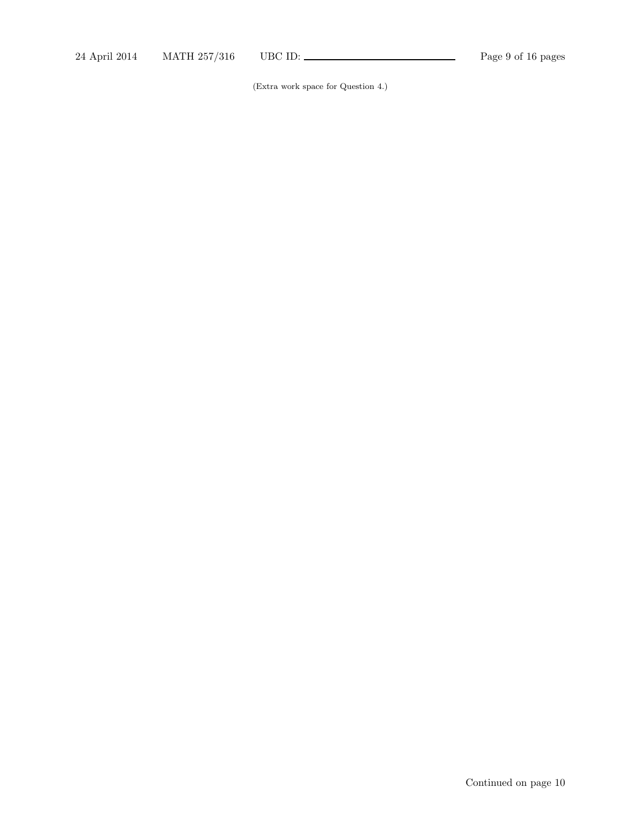(Extra work space for Question 4.)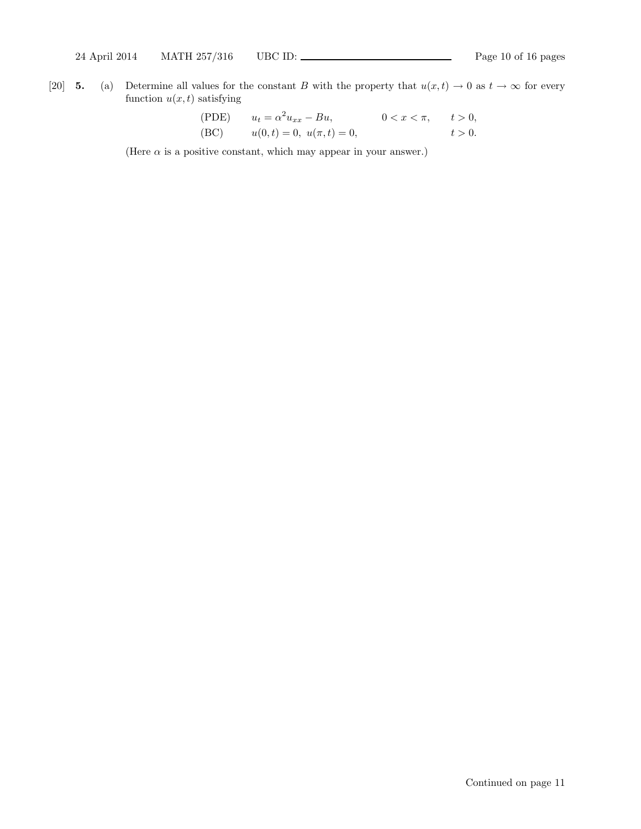[20] 5. (a) Determine all values for the constant B with the property that  $u(x, t) \to 0$  as  $t \to \infty$  for every function  $u(x, t)$  satisfying

(PDE) 
$$
u_t = \alpha^2 u_{xx} - Bu,
$$
  $0 < x < \pi,$   $t > 0,$   
(BC)  $u(0, t) = 0, u(\pi, t) = 0,$   $t > 0.$ 

(Here  $\alpha$  is a positive constant, which may appear in your answer.)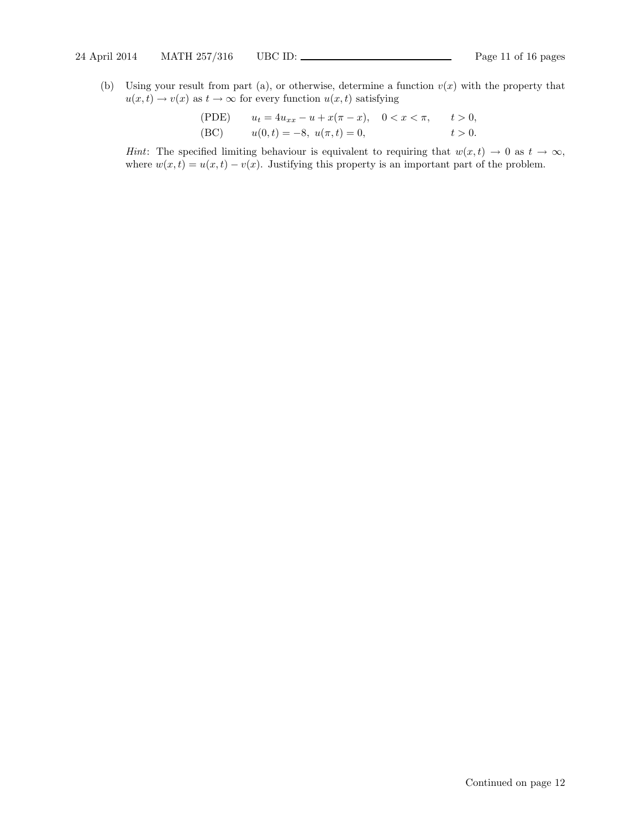(b) Using your result from part (a), or otherwise, determine a function  $v(x)$  with the property that  $u(x, t) \rightarrow v(x)$  as  $t \rightarrow \infty$  for every function  $u(x, t)$  satisfying

(PDE) 
$$
u_t = 4u_{xx} - u + x(\pi - x), \quad 0 < x < \pi, \quad t > 0,
$$
  
\n(BC)  $u(0, t) = -8, \quad u(\pi, t) = 0, \quad t > 0.$ 

Hint: The specified limiting behaviour is equivalent to requiring that  $w(x, t) \to 0$  as  $t \to \infty$ , where  $w(x, t) = u(x, t) - v(x)$ . Justifying this property is an important part of the problem.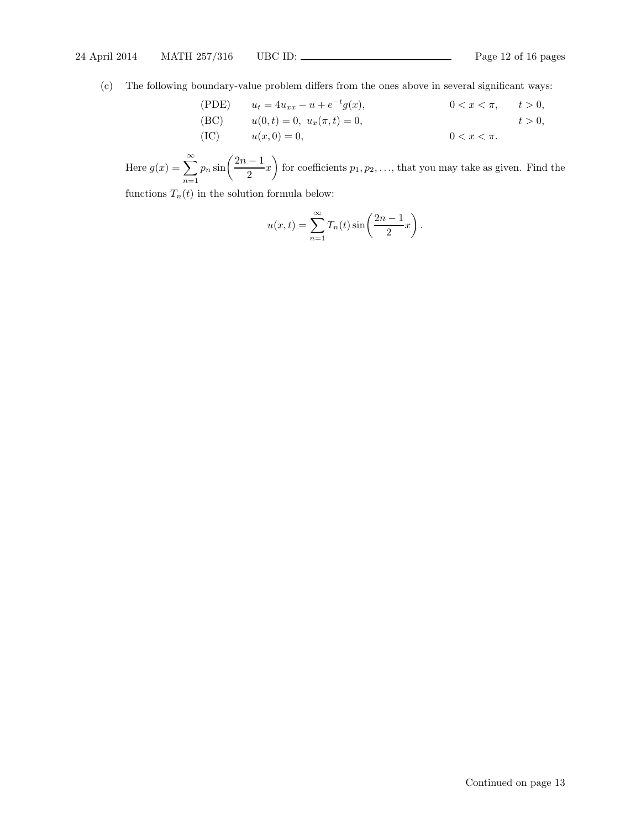(c) The following boundary-value problem differs from the ones above in several significant ways:

(PDE) 
$$
u_t = 4u_{xx} - u + e^{-t}g(x)
$$
,  $0 < x < \pi$ ,  $t > 0$ ,  
\n(BC)  $u(0, t) = 0$ ,  $u_x(\pi, t) = 0$ ,  $t > 0$ ,  
\n(IC)  $u(x, 0) = 0$ ,  $0 < x < \pi$ .

Here  $g(x) = \sum_{n=0}^{\infty}$  $n=1$  $p_n \sin\left(\frac{2n-1}{2}\right)$  $\frac{1}{2}x$  $\overline{ }$ for coefficients  $p_1, p_2, \ldots$ , that you may take as given. Find the

functions  $T_n(t)$  in the solution formula below:

$$
u(x,t) = \sum_{n=1}^{\infty} T_n(t) \sin\left(\frac{2n-1}{2}x\right).
$$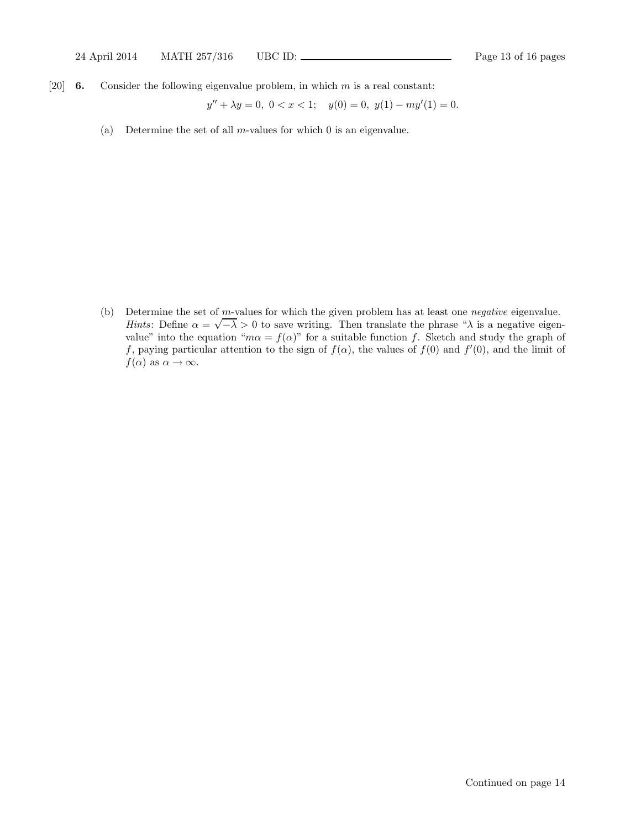[20] **6.** Consider the following eigenvalue problem, in which  $m$  is a real constant:

$$
y'' + \lambda y = 0, \ 0 < x < 1; \quad y(0) = 0, \ y(1) - my'(1) = 0.
$$

(a) Determine the set of all m-values for which  $\theta$  is an eigenvalue.

(b) Determine the set of m-values for which the given problem has at least one negative eigenvalue. Hints: Define  $\alpha = \sqrt{-\lambda} > 0$  to save writing. Then translate the phrase "λ is a negative eigenvalue" into the equation " $m\alpha = f(\alpha)$ " for a suitable function f. Sketch and study the graph of f, paying particular attention to the sign of  $f(\alpha)$ , the values of  $f(0)$  and  $f'(0)$ , and the limit of  $f(\alpha)$  as  $\alpha \to \infty$ .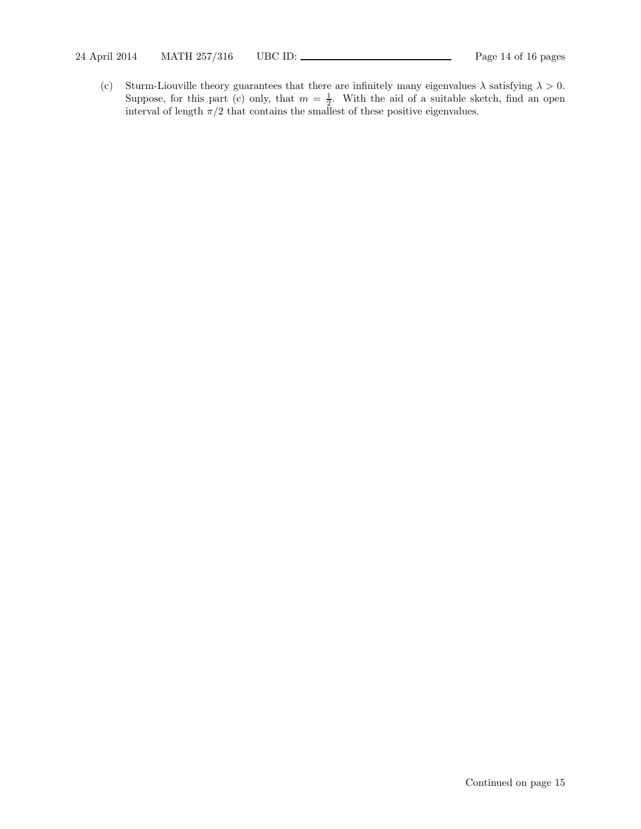(c) Sturm-Liouville theory guarantees that there are infinitely many eigenvalues  $\lambda$  satisfying  $\lambda > 0$ . Suppose, for this part (c) only, that  $m = \frac{1}{2}$ . With the aid of a suitable sketch, find an open interval of length  $\pi/2$  that contains the smallest of these positive eigenvalues.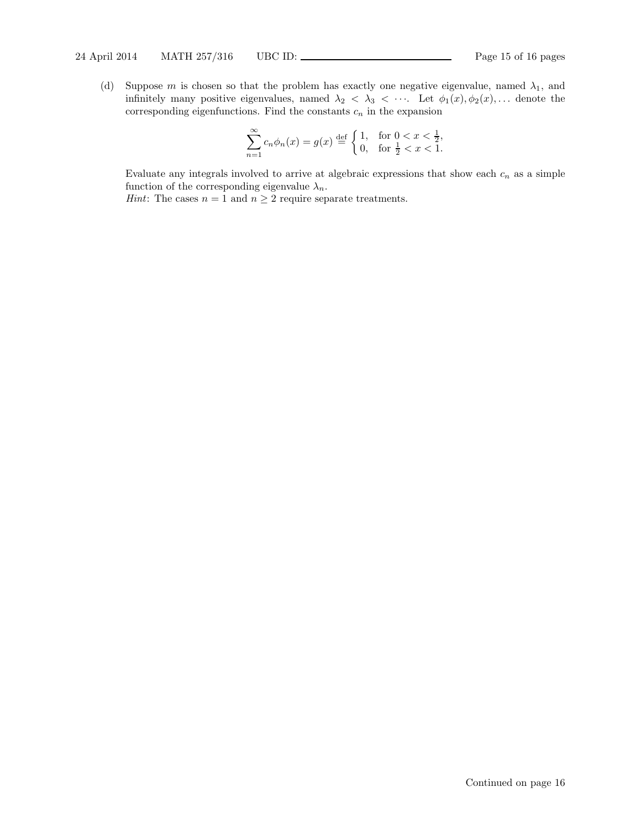(d) Suppose m is chosen so that the problem has exactly one negative eigenvalue, named  $\lambda_1$ , and infinitely many positive eigenvalues, named  $\lambda_2 < \lambda_3 < \cdots$ . Let  $\phi_1(x), \phi_2(x), \ldots$  denote the corresponding eigenfunctions. Find the constants  $c_n$  in the expansion

$$
\sum_{n=1}^{\infty} c_n \phi_n(x) = g(x) \stackrel{\text{def}}{=} \begin{cases} 1, & \text{for } 0 < x < \frac{1}{2}, \\ 0, & \text{for } \frac{1}{2} < x < 1. \end{cases}
$$

Evaluate any integrals involved to arrive at algebraic expressions that show each  $c_n$  as a simple function of the corresponding eigenvalue  $\lambda_n$ .

*Hint*: The cases  $n = 1$  and  $n \geq 2$  require separate treatments.